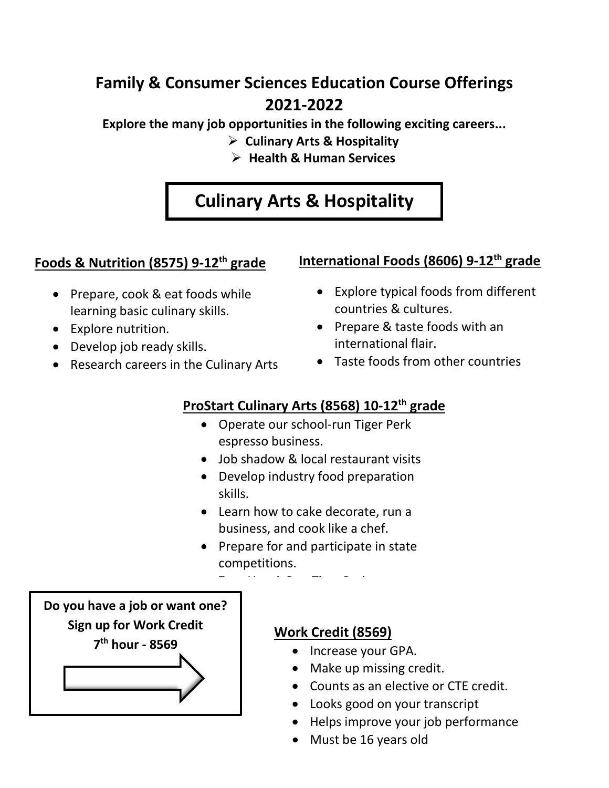## **Family & Consumer Sciences Education Course Offerings 2021-2022**

**Explore the many job opportunities in the following exciting careers...**

- **Culinary Arts & Hospitality**
- **Health & Human Services**

# **Culinary Arts & Hospitality**

#### **Foods & Nutrition (8575) 9-12th grade**

- Prepare, cook & eat foods while learning basic culinary skills.
- Explore nutrition.
- Develop job ready skills.
- Research careers in the Culinary Arts
- **International Foods (8606) 9-12th grade**
	- Explore typical foods from different countries & cultures.
	- Prepare & taste foods with an international flair.
	- Taste foods from other countries

### **ProStart Culinary Arts (8568) 10-12th grade**

- Operate our school-run Tiger Perk espresso business.
- Job shadow & local restaurant visits
- Develop industry food preparation skills.
- Learn how to cake decorate, run a business, and cook like a chef.
- Prepare for and participate in state competitions.

Z H ! R Ti P k

**Do you have a job or want one? Sign up for Work Credit 7th hour - 8569**

#### **Work Credit (8569)**

- Increase your GPA.
- Make up missing credit.
- Counts as an elective or CTE credit.
- Looks good on your transcript
- Helps improve your job performance
- Must be 16 years old